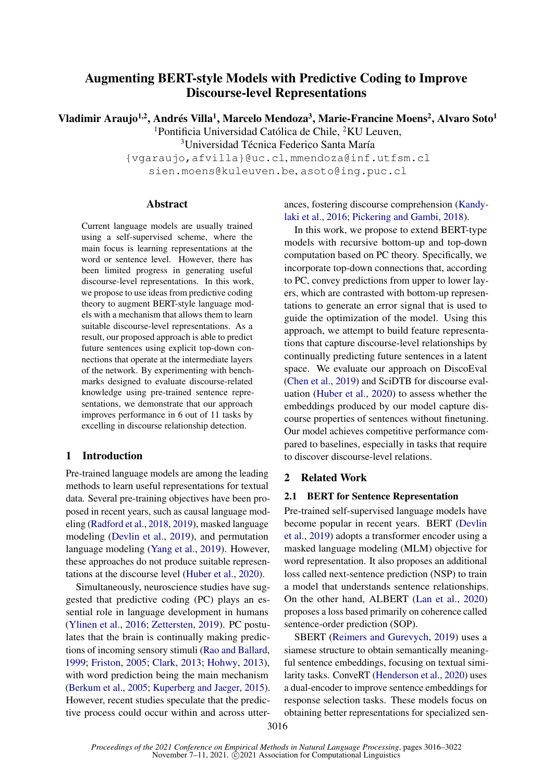# Augmenting BERT-style Models with Predictive Coding to Improve Discourse-level Representations

Vladimir Araujo<sup>1,2</sup>, Andrés Villa<sup>1</sup>, Marcelo Mendoza<sup>3</sup>, Marie-Francine Moens<sup>2</sup>, Alvaro Soto<sup>1</sup>

<sup>1</sup>Pontificia Universidad Católica de Chile,  ${}^{2}$ KU Leuven,

<sup>3</sup>Universidad Técnica Federico Santa María

{vgaraujo,afvilla}@uc.cl, mmendoza@inf.utfsm.cl sien.moens@kuleuven.be, asoto@ing.puc.cl

# Abstract

Current language models are usually trained using a self-supervised scheme, where the main focus is learning representations at the word or sentence level. However, there has been limited progress in generating useful discourse-level representations. In this work, we propose to use ideas from predictive coding theory to augment BERT-style language models with a mechanism that allows them to learn suitable discourse-level representations. As a result, our proposed approach is able to predict future sentences using explicit top-down connections that operate at the intermediate layers of the network. By experimenting with benchmarks designed to evaluate discourse-related knowledge using pre-trained sentence representations, we demonstrate that our approach improves performance in 6 out of 11 tasks by excelling in discourse relationship detection.

# 1 Introduction

Pre-trained language models are among the leading methods to learn useful representations for textual data. Several pre-training objectives have been proposed in recent years, such as causal language modeling [\(Radford et al.,](#page-6-0) [2018,](#page-6-0) [2019\)](#page-6-1), masked language modeling [\(Devlin et al.,](#page-5-0) [2019\)](#page-5-0), and permutation language modeling [\(Yang et al.,](#page-6-2) [2019\)](#page-6-2). However, these approaches do not produce suitable representations at the discourse level [\(Huber et al.,](#page-5-1) [2020\)](#page-5-1).

Simultaneously, neuroscience studies have suggested that predictive coding (PC) plays an essential role in language development in humans [\(Ylinen et al.,](#page-6-3) [2016;](#page-6-3) [Zettersten,](#page-6-4) [2019\)](#page-6-4). PC postulates that the brain is continually making predictions of incoming sensory stimuli [\(Rao and Ballard,](#page-6-5) [1999;](#page-6-5) [Friston,](#page-5-2) [2005;](#page-5-2) [Clark,](#page-5-3) [2013;](#page-5-3) [Hohwy,](#page-5-4) [2013\)](#page-5-4), with word prediction being the main mechanism [\(Berkum et al.,](#page-5-5) [2005;](#page-5-5) [Kuperberg and Jaeger,](#page-5-6) [2015\)](#page-5-6). However, recent studies speculate that the predictive process could occur within and across utterances, fostering discourse comprehension [\(Kandy](#page-5-7)[laki et al.,](#page-5-7) [2016;](#page-5-7) [Pickering and Gambi,](#page-6-6) [2018\)](#page-6-6).

In this work, we propose to extend BERT-type models with recursive bottom-up and top-down computation based on PC theory. Specifically, we incorporate top-down connections that, according to PC, convey predictions from upper to lower layers, which are contrasted with bottom-up representations to generate an error signal that is used to guide the optimization of the model. Using this approach, we attempt to build feature representations that capture discourse-level relationships by continually predicting future sentences in a latent space. We evaluate our approach on DiscoEval [\(Chen et al.,](#page-5-8) [2019\)](#page-5-8) and SciDTB for discourse evaluation [\(Huber et al.,](#page-5-1) [2020\)](#page-5-1) to assess whether the embeddings produced by our model capture discourse properties of sentences without finetuning. Our model achieves competitive performance compared to baselines, especially in tasks that require to discover discourse-level relations.

# 2 Related Work

# 2.1 BERT for Sentence Representation

Pre-trained self-supervised language models have become popular in recent years. BERT [\(Devlin](#page-5-0) [et al.,](#page-5-0) [2019\)](#page-5-0) adopts a transformer encoder using a masked language modeling (MLM) objective for word representation. It also proposes an additional loss called next-sentence prediction (NSP) to train a model that understands sentence relationships. On the other hand, ALBERT [\(Lan et al.,](#page-6-7) [2020\)](#page-6-7) proposes a loss based primarily on coherence called sentence-order prediction (SOP).

SBERT [\(Reimers and Gurevych,](#page-6-8) [2019\)](#page-6-8) uses a siamese structure to obtain semantically meaningful sentence embeddings, focusing on textual similarity tasks. ConveRT [\(Henderson et al.,](#page-5-9) [2020\)](#page-5-9) uses a dual-encoder to improve sentence embeddings for response selection tasks. These models focus on obtaining better representations for specialized sen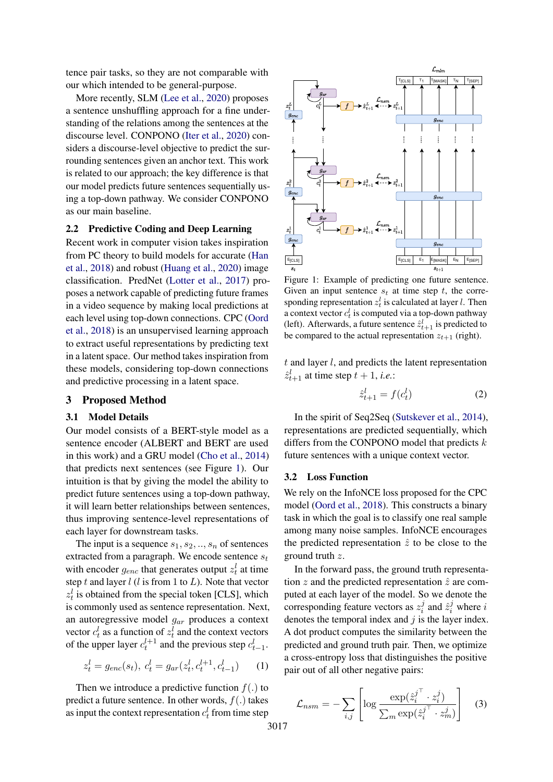tence pair tasks, so they are not comparable with our which intended to be general-purpose.

More recently, SLM [\(Lee et al.,](#page-6-9) [2020\)](#page-6-9) proposes a sentence unshuffling approach for a fine understanding of the relations among the sentences at the discourse level. CONPONO [\(Iter et al.,](#page-5-10) [2020\)](#page-5-10) considers a discourse-level objective to predict the surrounding sentences given an anchor text. This work is related to our approach; the key difference is that our model predicts future sentences sequentially using a top-down pathway. We consider CONPONO as our main baseline.

# 2.2 Predictive Coding and Deep Learning

Recent work in computer vision takes inspiration from PC theory to build models for accurate [\(Han](#page-5-11) [et al.,](#page-5-11) [2018\)](#page-5-11) and robust [\(Huang et al.,](#page-5-12) [2020\)](#page-5-12) image classification. PredNet [\(Lotter et al.,](#page-6-10) [2017\)](#page-6-10) proposes a network capable of predicting future frames in a video sequence by making local predictions at each level using top-down connections. CPC [\(Oord](#page-6-11) [et al.,](#page-6-11) [2018\)](#page-6-11) is an unsupervised learning approach to extract useful representations by predicting text in a latent space. Our method takes inspiration from these models, considering top-down connections and predictive processing in a latent space.

# 3 Proposed Method

#### 3.1 Model Details

Our model consists of a BERT-style model as a sentence encoder (ALBERT and BERT are used in this work) and a GRU model [\(Cho et al.,](#page-5-13) [2014\)](#page-5-13) that predicts next sentences (see Figure [1\)](#page-1-0). Our intuition is that by giving the model the ability to predict future sentences using a top-down pathway, it will learn better relationships between sentences, thus improving sentence-level representations of each layer for downstream tasks.

The input is a sequence  $s_1, s_2, \ldots, s_n$  of sentences extracted from a paragraph. We encode sentence  $s_t$ with encoder  $g_{enc}$  that generates output  $z_t^l$  at time step t and layer  $l$  ( $l$  is from 1 to  $L$ ). Note that vector  $z_t^l$  is obtained from the special token [CLS], which is commonly used as sentence representation. Next, an autoregressive model  $g_{ar}$  produces a context vector  $c_t^l$  as a function of  $z_t^l$  and the context vectors of the upper layer  $c_t^{l+1}$  and the previous step  $c_{t-1}^l$ .

<span id="page-1-1"></span>
$$
z_t^l = g_{enc}(s_t), \ c_t^l = g_{ar}(z_t^l, c_t^{l+1}, c_{t-1}^l) \qquad (1)
$$

Then we introduce a predictive function  $f(.)$  to predict a future sentence. In other words,  $f(.)$  takes as input the context representation  $c_t^l$  from time step

<span id="page-1-0"></span>

Figure 1: Example of predicting one future sentence. Given an input sentence  $s_t$  at time step t, the corresponding representation  $z_t^l$  is calculated at layer *l*. Then a context vector  $c_t^l$  is computed via a top-down pathway (left). Afterwards, a future sentence  $\hat{z}_{t+1}^l$  is predicted to be compared to the actual representation  $z_{t+1}$  (right).

 $t$  and layer  $l$ , and predicts the latent representation  $\hat{z}_{t+1}^l$  at time step  $t + 1$ , *i.e.*:

$$
\hat{z}_{t+1}^l = f(c_t^l) \tag{2}
$$

In the spirit of Seq2Seq [\(Sutskever et al.,](#page-6-12) [2014\)](#page-6-12), representations are predicted sequentially, which differs from the CONPONO model that predicts  $k$ future sentences with a unique context vector.

#### 3.2 Loss Function

We rely on the InfoNCE loss proposed for the CPC model [\(Oord et al.,](#page-6-11) [2018\)](#page-6-11). This constructs a binary task in which the goal is to classify one real sample among many noise samples. InfoNCE encourages the predicted representation  $\hat{z}$  to be close to the ground truth z.

In the forward pass, the ground truth representation z and the predicted representation  $\hat{z}$  are computed at each layer of the model. So we denote the corresponding feature vectors as  $z_i^j$  $\hat{z}_i^j$  and  $\hat{z}_i^j$  where i denotes the temporal index and  $j$  is the layer index. A dot product computes the similarity between the predicted and ground truth pair. Then, we optimize a cross-entropy loss that distinguishes the positive pair out of all other negative pairs:

$$
\mathcal{L}_{nsm} = -\sum_{i,j} \left[ \log \frac{\exp(\hat{z}_i^{j\top} \cdot z_i^j)}{\sum_m \exp(\hat{z}_i^{j\top} \cdot z_m^j)} \right]
$$
(3)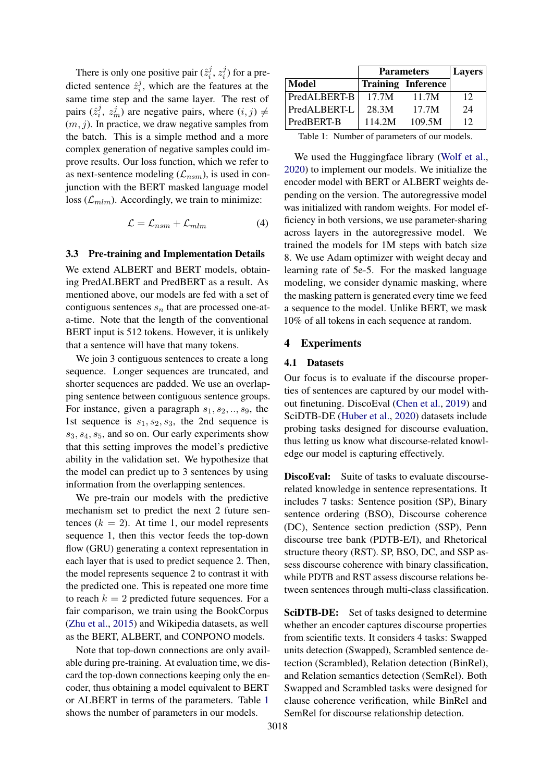There is only one positive pair  $(\hat{z}_i^j)$  $\frac{j}{i}, z_i^j$  $i_j^j$ ) for a predicted sentence  $\hat{z}_i^j$  $i<sub>i</sub>$ , which are the features at the same time step and the same layer. The rest of pairs  $(\hat{z}_i^j)$  $i, \, z_m^j$  are negative pairs, where  $(i, j) \neq j$  $(m, j)$ . In practice, we draw negative samples from the batch. This is a simple method and a more complex generation of negative samples could improve results. Our loss function, which we refer to as next-sentence modeling  $(\mathcal{L}_{nsm})$ , is used in conjunction with the BERT masked language model loss  $(\mathcal{L}_{mlm})$ . Accordingly, we train to minimize:

$$
\mathcal{L} = \mathcal{L}_{nsm} + \mathcal{L}_{mlm} \tag{4}
$$

#### 3.3 Pre-training and Implementation Details

We extend ALBERT and BERT models, obtaining PredALBERT and PredBERT as a result. As mentioned above, our models are fed with a set of contiguous sentences  $s_n$  that are processed one-ata-time. Note that the length of the conventional BERT input is 512 tokens. However, it is unlikely that a sentence will have that many tokens.

We join 3 contiguous sentences to create a long sequence. Longer sequences are truncated, and shorter sequences are padded. We use an overlapping sentence between contiguous sentence groups. For instance, given a paragraph  $s_1, s_2, \ldots, s_9$ , the 1st sequence is  $s_1, s_2, s_3$ , the 2nd sequence is  $s_3, s_4, s_5$ , and so on. Our early experiments show that this setting improves the model's predictive ability in the validation set. We hypothesize that the model can predict up to 3 sentences by using information from the overlapping sentences.

We pre-train our models with the predictive mechanism set to predict the next 2 future sentences  $(k = 2)$ . At time 1, our model represents sequence 1, then this vector feeds the top-down flow (GRU) generating a context representation in each layer that is used to predict sequence 2. Then, the model represents sequence 2 to contrast it with the predicted one. This is repeated one more time to reach  $k = 2$  predicted future sequences. For a fair comparison, we train using the BookCorpus [\(Zhu et al.,](#page-6-13) [2015\)](#page-6-13) and Wikipedia datasets, as well as the BERT, ALBERT, and CONPONO models.

Note that top-down connections are only available during pre-training. At evaluation time, we discard the top-down connections keeping only the encoder, thus obtaining a model equivalent to BERT or ALBERT in terms of the parameters. Table [1](#page-2-0) shows the number of parameters in our models.

<span id="page-2-0"></span>

|              | <b>Parameters</b> | <b>Layers</b>             |    |
|--------------|-------------------|---------------------------|----|
| Model        |                   | <b>Training Inference</b> |    |
| PredALBERT-B | 17.7M             | 11.7M                     | 12 |
| PredALBERT-L | 28.3M             | 17.7M                     | 24 |
| PredBERT-B   | 114.2M            | 109.5M                    | 12 |

Table 1: Number of parameters of our models.

We used the Huggingface library [\(Wolf et al.,](#page-6-14) [2020\)](#page-6-14) to implement our models. We initialize the encoder model with BERT or ALBERT weights depending on the version. The autoregressive model was initialized with random weights. For model efficiency in both versions, we use parameter-sharing across layers in the autoregressive model. We trained the models for 1M steps with batch size 8. We use Adam optimizer with weight decay and learning rate of 5e-5. For the masked language modeling, we consider dynamic masking, where the masking pattern is generated every time we feed a sequence to the model. Unlike BERT, we mask 10% of all tokens in each sequence at random.

#### 4 Experiments

# 4.1 Datasets

Our focus is to evaluate if the discourse properties of sentences are captured by our model without finetuning. DiscoEval [\(Chen et al.,](#page-5-8) [2019\)](#page-5-8) and SciDTB-DE [\(Huber et al.,](#page-5-1) [2020\)](#page-5-1) datasets include probing tasks designed for discourse evaluation, thus letting us know what discourse-related knowledge our model is capturing effectively.

DiscoEval: Suite of tasks to evaluate discourserelated knowledge in sentence representations. It includes 7 tasks: Sentence position (SP), Binary sentence ordering (BSO), Discourse coherence (DC), Sentence section prediction (SSP), Penn discourse tree bank (PDTB-E/I), and Rhetorical structure theory (RST). SP, BSO, DC, and SSP assess discourse coherence with binary classification, while PDTB and RST assess discourse relations between sentences through multi-class classification.

SciDTB-DE: Set of tasks designed to determine whether an encoder captures discourse properties from scientific texts. It considers 4 tasks: Swapped units detection (Swapped), Scrambled sentence detection (Scrambled), Relation detection (BinRel), and Relation semantics detection (SemRel). Both Swapped and Scrambled tasks were designed for clause coherence verification, while BinRel and SemRel for discourse relationship detection.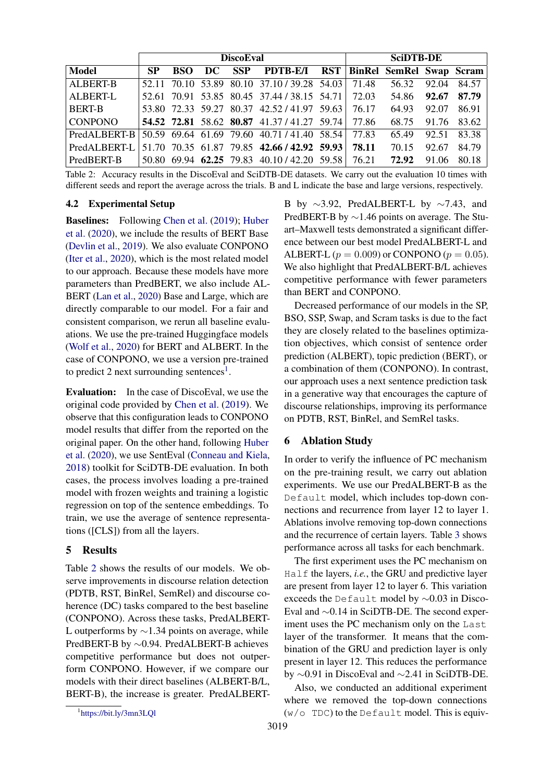<span id="page-3-1"></span>

|                                                                |           |  | <b>DiscoEval</b> | <b>SciDTB-DE</b>                                                                                    |  |  |       |       |                   |
|----------------------------------------------------------------|-----------|--|------------------|-----------------------------------------------------------------------------------------------------|--|--|-------|-------|-------------------|
| <b>Model</b>                                                   | <b>SP</b> |  |                  | BSO DC SSP PDTB-E/I RST BinRel SemRel Swap Scram                                                    |  |  |       |       |                   |
| <b>ALBERT-B</b>                                                |           |  |                  | 52.11 70.10 53.89 80.10 37.10/39.28 54.03 71.48 56.32 92.04                                         |  |  |       |       | 84.57             |
| ALBERT-L                                                       |           |  |                  | 52.61 70.91 53.85 80.45 37.44 / 38.15 54.71 72.03 54.86 92.67 87.79                                 |  |  |       |       |                   |
| <b>BERT-B</b>                                                  |           |  |                  | 53.80 72.33 59.27 80.37 42.52/41.97 59.63 76.17                                                     |  |  | 64.93 | 92.07 | 86.91             |
| <b>CONPONO</b>                                                 |           |  |                  | 54.52 72.81 58.62 80.87 41.37/41.27 59.74 77.86                                                     |  |  |       |       | 68.75 91.76 83.62 |
| PredALBERT-B 50.59 69.64 61.69 79.60 40.71 / 41.40 58.54 77.83 |           |  |                  |                                                                                                     |  |  | 65.49 | 92.51 | 83.38             |
| PredALBERT-L                                                   |           |  |                  | $\vert 51.70 \vert 70.35 \vert 61.87 \vert 79.85 \vert 42.66 / 42.92 \vert 59.93 \vert 78.11 \vert$ |  |  | 70.15 | 92.67 | 84.79             |
| PredBERT-B                                                     |           |  |                  | 50.80 69.94 62.25 79.83 40.10/42.20 59.58 76.21                                                     |  |  | 72.92 | 91.06 | 80.18             |

Table 2: Accuracy results in the DiscoEval and SciDTB-DE datasets. We carry out the evaluation 10 times with different seeds and report the average across the trials. B and L indicate the base and large versions, respectively.

# <span id="page-3-2"></span>4.2 Experimental Setup

Baselines: Following [Chen et al.](#page-5-8) [\(2019\)](#page-5-8); [Huber](#page-5-1) [et al.](#page-5-1) [\(2020\)](#page-5-1), we include the results of BERT Base [\(Devlin et al.,](#page-5-0) [2019\)](#page-5-0). We also evaluate CONPONO [\(Iter et al.,](#page-5-10) [2020\)](#page-5-10), which is the most related model to our approach. Because these models have more parameters than PredBERT, we also include AL-BERT [\(Lan et al.,](#page-6-7) [2020\)](#page-6-7) Base and Large, which are directly comparable to our model. For a fair and consistent comparison, we rerun all baseline evaluations. We use the pre-trained Huggingface models [\(Wolf et al.,](#page-6-14) [2020\)](#page-6-14) for BERT and ALBERT. In the case of CONPONO, we use a version pre-trained to predict 2 next surrounding sentences<sup>[1](#page-3-0)</sup>.

Evaluation: In the case of DiscoEval, we use the original code provided by [Chen et al.](#page-5-8) [\(2019\)](#page-5-8). We observe that this configuration leads to CONPONO model results that differ from the reported on the original paper. On the other hand, following [Huber](#page-5-1) [et al.](#page-5-1) [\(2020\)](#page-5-1), we use SentEval [\(Conneau and Kiela,](#page-5-14) [2018\)](#page-5-14) toolkit for SciDTB-DE evaluation. In both cases, the process involves loading a pre-trained model with frozen weights and training a logistic regression on top of the sentence embeddings. To train, we use the average of sentence representations ([CLS]) from all the layers.

# 5 Results

Table [2](#page-3-1) shows the results of our models. We observe improvements in discourse relation detection (PDTB, RST, BinRel, SemRel) and discourse coherence (DC) tasks compared to the best baseline (CONPONO). Across these tasks, PredALBERT-L outperforms by ∼1.34 points on average, while PredBERT-B by ∼0.94. PredALBERT-B achieves competitive performance but does not outperform CONPONO. However, if we compare our models with their direct baselines (ALBERT-B/L, BERT-B), the increase is greater. PredALBERT- B by ∼3.92, PredALBERT-L by ∼7.43, and PredBERT-B by ∼1.46 points on average. The Stuart–Maxwell tests demonstrated a significant difference between our best model PredALBERT-L and ALBERT-L ( $p = 0.009$ ) or CONPONO ( $p = 0.05$ ). We also highlight that PredALBERT-B/L achieves competitive performance with fewer parameters than BERT and CONPONO.

Decreased performance of our models in the SP, BSO, SSP, Swap, and Scram tasks is due to the fact they are closely related to the baselines optimization objectives, which consist of sentence order prediction (ALBERT), topic prediction (BERT), or a combination of them (CONPONO). In contrast, our approach uses a next sentence prediction task in a generative way that encourages the capture of discourse relationships, improving its performance on PDTB, RST, BinRel, and SemRel tasks.

# 6 Ablation Study

In order to verify the influence of PC mechanism on the pre-training result, we carry out ablation experiments. We use our PredALBERT-B as the Default model, which includes top-down connections and recurrence from layer 12 to layer 1. Ablations involve removing top-down connections and the recurrence of certain layers. Table [3](#page-4-0) shows performance across all tasks for each benchmark.

The first experiment uses the PC mechanism on Half the layers, *i.e.*, the GRU and predictive layer are present from layer 12 to layer 6. This variation exceeds the Default model by ∼0.03 in Disco-Eval and ∼0.14 in SciDTB-DE. The second experiment uses the PC mechanism only on the Last layer of the transformer. It means that the combination of the GRU and prediction layer is only present in layer 12. This reduces the performance by ∼0.91 in DiscoEval and ∼2.41 in SciDTB-DE.

Also, we conducted an additional experiment where we removed the top-down connections  $(w/\circ$  TDC) to the Default model. This is equiv-

<span id="page-3-0"></span><sup>1</sup> [https://bit.ly/3mn3LQl](https://github.com/google-research/language/tree/master/language/conpono)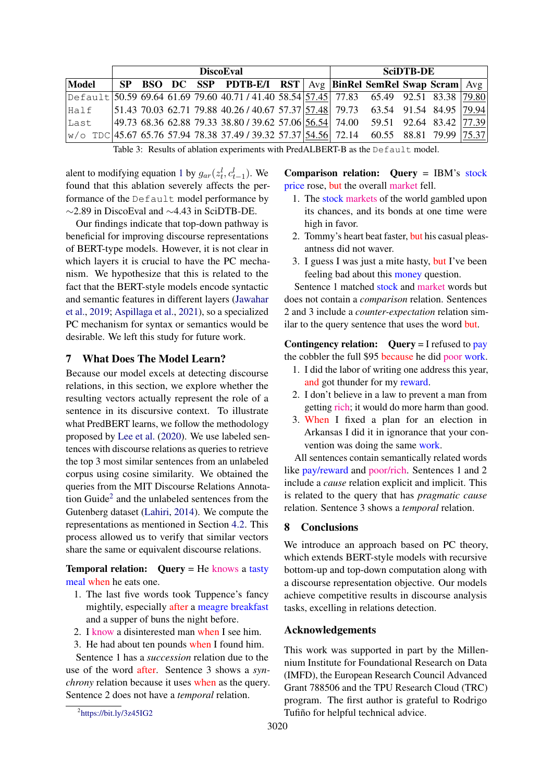<span id="page-4-0"></span>

|                                                                                                 | <b>DiscoEval</b> |  |  |  |  |  |  |  | <b>SciDTB-DE</b> |                                                                                                |  |  |  |
|-------------------------------------------------------------------------------------------------|------------------|--|--|--|--|--|--|--|------------------|------------------------------------------------------------------------------------------------|--|--|--|
| Model                                                                                           |                  |  |  |  |  |  |  |  |                  | <b>SP BSO DC SSP PDTB-E/I RST</b>   $Avg$   <b>BinRel SemRel Swap Scram</b>   $Avg$            |  |  |  |
| Default 50.59 69.64 61.69 79.60 40.71 / 41.40 58.54 57.45 77.83 65.49 92.51 83.38 79.80         |                  |  |  |  |  |  |  |  |                  |                                                                                                |  |  |  |
| Half                                                                                            |                  |  |  |  |  |  |  |  |                  | $ 51.43\;70.03\;62.71\;79.88\;40.26\;740.67\;57.37 57.48\;79.73\;63.54\;91.54\;84.95\; 79.94 $ |  |  |  |
| Last                                                                                            |                  |  |  |  |  |  |  |  |                  | 49.73 68.36 62.88 79.33 38.80 / 39.62 57.06 56.54 74.00 59.51 92.64 83.42 77.39                |  |  |  |
| $ w/\circ $ TDC 45.67 65.76 57.94 78.38 37.49 / 39.32 57.37 54.56 72.14 60.55 88.81 79.99 75.37 |                  |  |  |  |  |  |  |  |                  |                                                                                                |  |  |  |

Table 3: Results of ablation experiments with PredALBERT-B as the Default model.

alent to modifying equation [1](#page-1-1) by  $g_{ar}(z_t^l, c_{t-1}^l)$ . We found that this ablation severely affects the performance of the Default model performance by ∼2.89 in DiscoEval and ∼4.43 in SciDTB-DE.

Our findings indicate that top-down pathway is beneficial for improving discourse representations of BERT-type models. However, it is not clear in which layers it is crucial to have the PC mechanism. We hypothesize that this is related to the fact that the BERT-style models encode syntactic and semantic features in different layers [\(Jawahar](#page-5-15) [et al.,](#page-5-15) [2019;](#page-5-15) [Aspillaga et al.,](#page-5-16) [2021\)](#page-5-16), so a specialized PC mechanism for syntax or semantics would be desirable. We left this study for future work.

# 7 What Does The Model Learn?

Because our model excels at detecting discourse relations, in this section, we explore whether the resulting vectors actually represent the role of a sentence in its discursive context. To illustrate what PredBERT learns, we follow the methodology proposed by [Lee et al.](#page-6-9) [\(2020\)](#page-6-9). We use labeled sentences with discourse relations as queries to retrieve the top 3 most similar sentences from an unlabeled corpus using cosine similarity. We obtained the queries from the MIT Discourse Relations Annota-tion Guide<sup>[2](#page-4-1)</sup> and the unlabeled sentences from the Gutenberg dataset [\(Lahiri,](#page-5-17) [2014\)](#page-5-17). We compute the representations as mentioned in Section [4.2.](#page-3-2) This process allowed us to verify that similar vectors share the same or equivalent discourse relations.

Temporal relation: Query = He knows a tasty meal when he eats one.

- 1. The last five words took Tuppence's fancy mightily, especially after a meagre breakfast and a supper of buns the night before.
- 2. I know a disinterested man when I see him.
- 3. He had about ten pounds when I found him.

Sentence 1 has a *succession* relation due to the use of the word after. Sentence 3 shows a *synchrony* relation because it uses when as the query. Sentence 2 does not have a *temporal* relation.

Comparison relation: Query = IBM's stock price rose, but the overall market fell.

- 1. The stock markets of the world gambled upon its chances, and its bonds at one time were high in favor.
- 2. Tommy's heart beat faster, but his casual pleasantness did not waver.
- 3. I guess I was just a mite hasty, but I've been feeling bad about this money question.

Sentence 1 matched stock and market words but does not contain a *comparison* relation. Sentences 2 and 3 include a *counter-expectation* relation similar to the query sentence that uses the word but.

Contingency relation:  $Query = I$  refused to pay the cobbler the full \$95 because he did poor work.

- 1. I did the labor of writing one address this year, and got thunder for my reward.
- 2. I don't believe in a law to prevent a man from getting rich; it would do more harm than good.
- 3. When I fixed a plan for an election in Arkansas I did it in ignorance that your convention was doing the same work.

All sentences contain semantically related words like pay/reward and poor/rich. Sentences 1 and 2 include a *cause* relation explicit and implicit. This is related to the query that has *pragmatic cause* relation. Sentence 3 shows a *temporal* relation.

# 8 Conclusions

We introduce an approach based on PC theory, which extends BERT-style models with recursive bottom-up and top-down computation along with a discourse representation objective. Our models achieve competitive results in discourse analysis tasks, excelling in relations detection.

#### Acknowledgements

This work was supported in part by the Millennium Institute for Foundational Research on Data (IMFD), the European Research Council Advanced Grant 788506 and the TPU Research Cloud (TRC) program. The first author is grateful to Rodrigo Tufiño for helpful technical advice.

<span id="page-4-1"></span><sup>&</sup>lt;sup>2</sup>[https://bit.ly/3z45IG2](http://projects.csail.mit.edu/workbench/update/guides/10%20-%20Discourse%20Relations.pdf)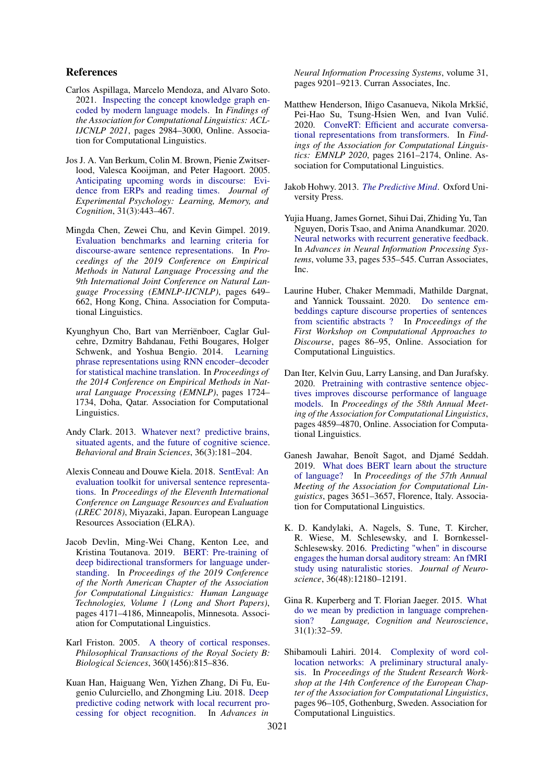# References

- <span id="page-5-16"></span>Carlos Aspillaga, Marcelo Mendoza, and Alvaro Soto. 2021. [Inspecting the concept knowledge graph en](https://doi.org/10.18653/v1/2021.findings-acl.263)[coded by modern language models.](https://doi.org/10.18653/v1/2021.findings-acl.263) In *Findings of the Association for Computational Linguistics: ACL-IJCNLP 2021*, pages 2984–3000, Online. Association for Computational Linguistics.
- <span id="page-5-5"></span>Jos J. A. Van Berkum, Colin M. Brown, Pienie Zwitserlood, Valesca Kooijman, and Peter Hagoort. 2005. [Anticipating upcoming words in discourse: Evi](https://doi.org/10.1037/0278-7393.31.3.443)[dence from ERPs and reading times.](https://doi.org/10.1037/0278-7393.31.3.443) *Journal of Experimental Psychology: Learning, Memory, and Cognition*, 31(3):443–467.
- <span id="page-5-8"></span>Mingda Chen, Zewei Chu, and Kevin Gimpel. 2019. [Evaluation benchmarks and learning criteria for](https://doi.org/10.18653/v1/D19-1060) [discourse-aware sentence representations.](https://doi.org/10.18653/v1/D19-1060) In *Proceedings of the 2019 Conference on Empirical Methods in Natural Language Processing and the 9th International Joint Conference on Natural Language Processing (EMNLP-IJCNLP)*, pages 649– 662, Hong Kong, China. Association for Computational Linguistics.
- <span id="page-5-13"></span>Kyunghyun Cho, Bart van Merriënboer, Caglar Gulcehre, Dzmitry Bahdanau, Fethi Bougares, Holger Schwenk, and Yoshua Bengio. 2014. [Learning](https://doi.org/10.3115/v1/D14-1179) [phrase representations using RNN encoder–decoder](https://doi.org/10.3115/v1/D14-1179) [for statistical machine translation.](https://doi.org/10.3115/v1/D14-1179) In *Proceedings of the 2014 Conference on Empirical Methods in Natural Language Processing (EMNLP)*, pages 1724– 1734, Doha, Qatar. Association for Computational Linguistics.
- <span id="page-5-3"></span>Andy Clark. 2013. [Whatever next? predictive brains,](https://doi.org/10.1017/s0140525x12000477) [situated agents, and the future of cognitive science.](https://doi.org/10.1017/s0140525x12000477) *Behavioral and Brain Sciences*, 36(3):181–204.
- <span id="page-5-14"></span>Alexis Conneau and Douwe Kiela. 2018. [SentEval: An](https://www.aclweb.org/anthology/L18-1269) [evaluation toolkit for universal sentence representa](https://www.aclweb.org/anthology/L18-1269)[tions.](https://www.aclweb.org/anthology/L18-1269) In *Proceedings of the Eleventh International Conference on Language Resources and Evaluation (LREC 2018)*, Miyazaki, Japan. European Language Resources Association (ELRA).
- <span id="page-5-0"></span>Jacob Devlin, Ming-Wei Chang, Kenton Lee, and Kristina Toutanova. 2019. [BERT: Pre-training of](https://doi.org/10.18653/v1/N19-1423) [deep bidirectional transformers for language under](https://doi.org/10.18653/v1/N19-1423)[standing.](https://doi.org/10.18653/v1/N19-1423) In *Proceedings of the 2019 Conference of the North American Chapter of the Association for Computational Linguistics: Human Language Technologies, Volume 1 (Long and Short Papers)*, pages 4171–4186, Minneapolis, Minnesota. Association for Computational Linguistics.
- <span id="page-5-2"></span>Karl Friston. 2005. [A theory of cortical responses.](https://doi.org/10.1098/rstb.2005.1622) *Philosophical Transactions of the Royal Society B: Biological Sciences*, 360(1456):815–836.
- <span id="page-5-11"></span>Kuan Han, Haiguang Wen, Yizhen Zhang, Di Fu, Eugenio Culurciello, and Zhongming Liu. 2018. [Deep](https://proceedings.neurips.cc/paper/2018/file/1c63926ebcabda26b5cdb31b5cc91efb-Paper.pdf) [predictive coding network with local recurrent pro](https://proceedings.neurips.cc/paper/2018/file/1c63926ebcabda26b5cdb31b5cc91efb-Paper.pdf)[cessing for object recognition.](https://proceedings.neurips.cc/paper/2018/file/1c63926ebcabda26b5cdb31b5cc91efb-Paper.pdf) In *Advances in*

*Neural Information Processing Systems*, volume 31, pages 9201–9213. Curran Associates, Inc.

- <span id="page-5-9"></span>Matthew Henderson, Iñigo Casanueva, Nikola Mrkšic,´ Pei-Hao Su, Tsung-Hsien Wen, and Ivan Vulić. 2020. [ConveRT: Efficient and accurate conversa](https://doi.org/10.18653/v1/2020.findings-emnlp.196)[tional representations from transformers.](https://doi.org/10.18653/v1/2020.findings-emnlp.196) In *Findings of the Association for Computational Linguistics: EMNLP 2020*, pages 2161–2174, Online. Association for Computational Linguistics.
- <span id="page-5-4"></span>Jakob Hohwy. 2013. *[The Predictive Mind](https://doi.org/10.1093/acprof:oso/9780199682737.001.0001)*. Oxford University Press.
- <span id="page-5-12"></span>Yujia Huang, James Gornet, Sihui Dai, Zhiding Yu, Tan Nguyen, Doris Tsao, and Anima Anandkumar. 2020. [Neural networks with recurrent generative feedback.](https://proceedings.neurips.cc/paper/2020/file/0660895c22f8a14eb039bfb9beb0778f-Paper.pdf) In *Advances in Neural Information Processing Systems*, volume 33, pages 535–545. Curran Associates, Inc.
- <span id="page-5-1"></span>Laurine Huber, Chaker Memmadi, Mathilde Dargnat, and Yannick Toussaint. 2020. [Do sentence em](https://doi.org/10.18653/v1/2020.codi-1.9)[beddings capture discourse properties of sentences](https://doi.org/10.18653/v1/2020.codi-1.9) [from scientific abstracts ?](https://doi.org/10.18653/v1/2020.codi-1.9) In *Proceedings of the First Workshop on Computational Approaches to Discourse*, pages 86–95, Online. Association for Computational Linguistics.
- <span id="page-5-10"></span>Dan Iter, Kelvin Guu, Larry Lansing, and Dan Jurafsky. 2020. [Pretraining with contrastive sentence objec](https://doi.org/10.18653/v1/2020.acl-main.439)[tives improves discourse performance of language](https://doi.org/10.18653/v1/2020.acl-main.439) [models.](https://doi.org/10.18653/v1/2020.acl-main.439) In *Proceedings of the 58th Annual Meeting of the Association for Computational Linguistics*, pages 4859–4870, Online. Association for Computational Linguistics.
- <span id="page-5-15"></span>Ganesh Jawahar, Benoît Sagot, and Djamé Seddah. 2019. [What does BERT learn about the structure](https://doi.org/10.18653/v1/P19-1356) [of language?](https://doi.org/10.18653/v1/P19-1356) In *Proceedings of the 57th Annual Meeting of the Association for Computational Linguistics*, pages 3651–3657, Florence, Italy. Association for Computational Linguistics.
- <span id="page-5-7"></span>K. D. Kandylaki, A. Nagels, S. Tune, T. Kircher, R. Wiese, M. Schlesewsky, and I. Bornkessel-Schlesewsky. 2016. [Predicting "when" in discourse](https://doi.org/10.1523/jneurosci.4100-15.2016) [engages the human dorsal auditory stream: An fMRI](https://doi.org/10.1523/jneurosci.4100-15.2016) [study using naturalistic stories.](https://doi.org/10.1523/jneurosci.4100-15.2016) *Journal of Neuroscience*, 36(48):12180–12191.
- <span id="page-5-6"></span>Gina R. Kuperberg and T. Florian Jaeger. 2015. [What](https://doi.org/10.1080/23273798.2015.1102299) [do we mean by prediction in language comprehen](https://doi.org/10.1080/23273798.2015.1102299)[sion?](https://doi.org/10.1080/23273798.2015.1102299) *Language, Cognition and Neuroscience*, 31(1):32–59.
- <span id="page-5-17"></span>Shibamouli Lahiri. 2014. [Complexity of word col](https://doi.org/10.3115/v1/E14-3011)[location networks: A preliminary structural analy](https://doi.org/10.3115/v1/E14-3011)[sis.](https://doi.org/10.3115/v1/E14-3011) In *Proceedings of the Student Research Workshop at the 14th Conference of the European Chapter of the Association for Computational Linguistics*, pages 96–105, Gothenburg, Sweden. Association for Computational Linguistics.